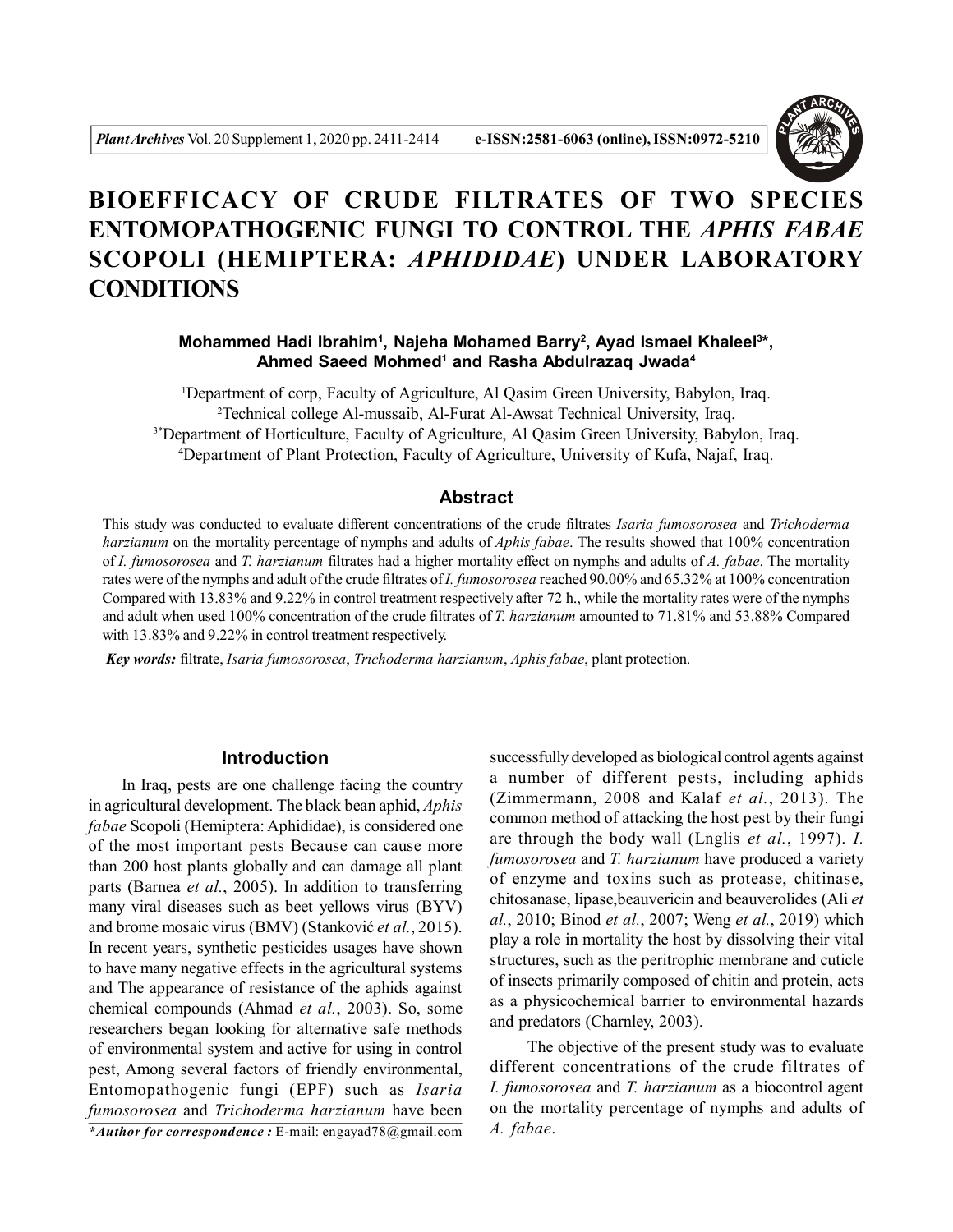

# **BIOEFFICACY OF CRUDE FILTRATES OF TWO SPECIES ENTOMOPATHOGENIC FUNGI TO CONTROL THE** *APHIS FABAE* **SCOPOLI (HEMIPTERA:** *APHIDIDAE***) UNDER LABORATORY CONDITIONS**

**Mohammed Hadi Ibrahim<sup>1</sup>, Najeha Mohamed Barry<sup>2</sup>, Ayad Ismael Khaleel<sup>3\*</sup>, Ahmed Saeed Mohmed<sup>1</sup> and Rasha Abdulrazaq Jwada<sup>4</sup>**

Department of corp, Faculty of Agriculture, Al Qasim Green University, Babylon, Iraq. Technical college Al-mussaib, Al-Furat Al-Awsat Technical University, Iraq. <sup>3\*</sup>Department of Horticulture, Faculty of Agriculture, Al Qasim Green University, Babylon, Iraq. Department of Plant Protection, Faculty of Agriculture, University of Kufa, Najaf, Iraq.

## **Abstract**

This study was conducted to evaluate different concentrations of the crude filtrates *Isaria fumosorosea* and *Trichoderma harzianum* on the mortality percentage of nymphs and adults of *Aphis fabae*. The results showed that 100% concentration of *I. fumosorosea* and *T. harzianum* filtrates had a higher mortality effect on nymphs and adults of *A. fabae*. The mortality rates were of the nymphs and adult of the crude filtrates of *I. fumosorosea* reached 90.00% and 65.32% at 100% concentration Compared with 13.83% and 9.22% in control treatment respectively after 72 h., while the mortality rates were of the nymphs and adult when used 100% concentration of the crude filtrates of *T. harzianum* amounted to 71.81% and 53.88% Compared with 13.83% and 9.22% in control treatment respectively.

*Key words:* filtrate, *Isaria fumosorosea*, *Trichoderma harzianum*, *Aphis fabae*, plant protection.

#### **Introduction**

 In Iraq, pests are one challenge facing the country in agricultural development. The black bean aphid, *Aphis fabae* Scopoli (Hemiptera: Aphididae), is considered one of the most important pests Because can cause more than 200 host plants globally and can damage all plant parts (Barnea *et al.*, 2005). In addition to transferring many viral diseases such as beet yellows virus (BYV) and brome mosaic virus (BMV) (Stanković *et al.*, 2015). In recent years, synthetic pesticides usages have shown to have many negative effects in the agricultural systems and The appearance of resistance of the aphids against chemical compounds (Ahmad *et al.*, 2003). So, some researchers began looking for alternative safe methods of environmental system and active for using in control pest, Among several factors of friendly environmental, Entomopathogenic fungi (EPF) such as *Isaria fumosorosea* and *Trichoderma harzianum* have been

*\*Author for correspondence :* E-mail: engayad78@gmail.com

successfully developed as biological control agents against a number of different pests, including aphids (Zimmermann, 2008 and Kalaf *et al.*, 2013). The common method of attacking the host pest by their fungi are through the body wall (Lnglis *et al.*, 1997). *I. fumosorosea* and *T. harzianum* have produced a variety of enzyme and toxins such as protease, chitinase, chitosanase, lipase,beauvericin and beauverolides (Ali *et al.*, 2010; Binod *et al.*, 2007; Weng *et al.*, 2019) which play a role in mortality the host by dissolving their vital structures, such as the peritrophic membrane and cuticle of insects primarily composed of chitin and protein, acts as a physicochemical barrier to environmental hazards and predators (Charnley, 2003).

 The objective of the present study was to evaluate different concentrations of the crude filtrates of *I. fumosorosea* and *T. harzianum* as a biocontrol agent on the mortality percentage of nymphs and adults of *A. fabae*.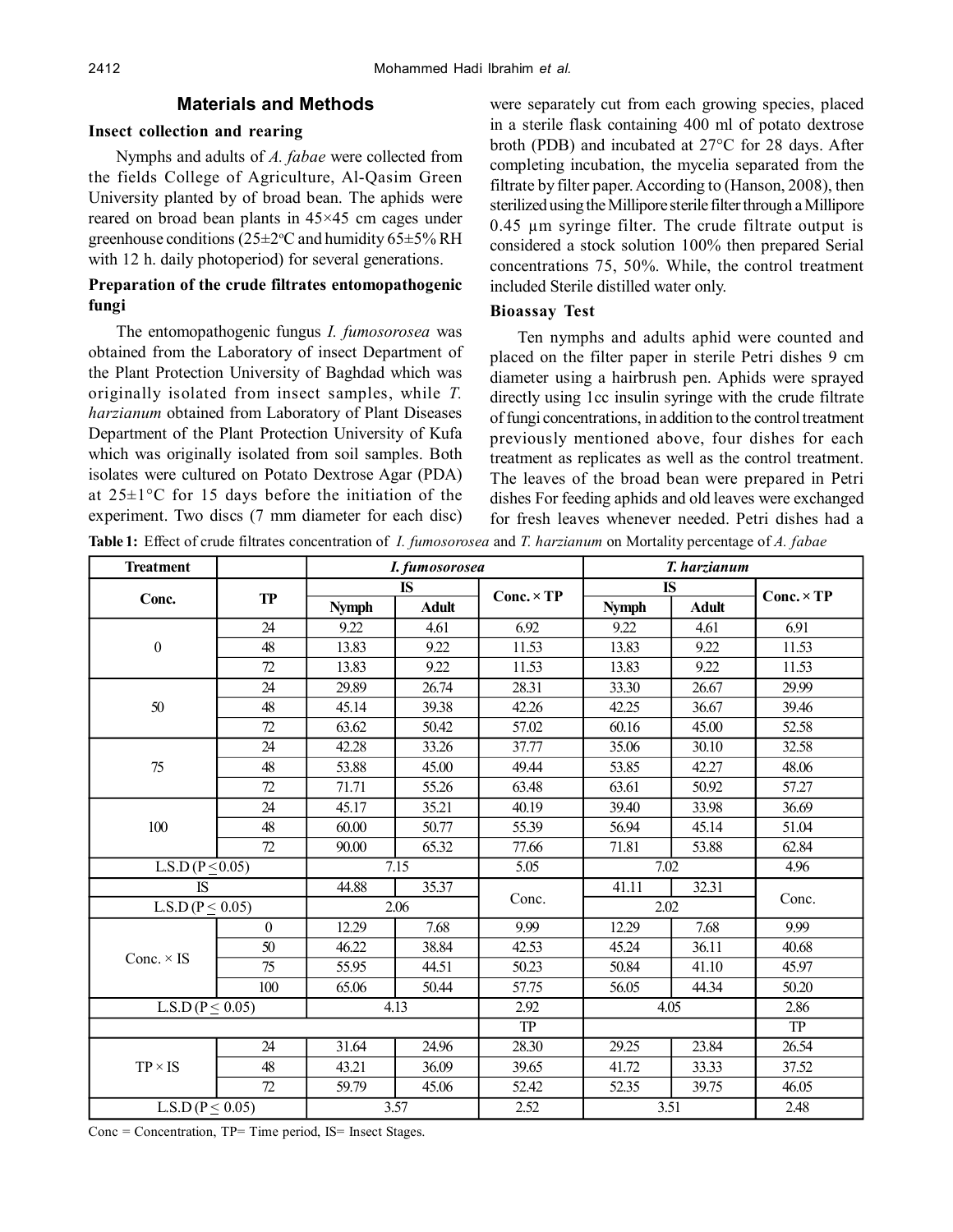## **Materials and Methods**

#### **Insect collection and rearing**

Nymphs and adults of *A. fabae* were collected from the fields College of Agriculture, Al-Qasim Green University planted by of broad bean. The aphids were reared on broad bean plants in 45×45 cm cages under greenhouse conditions ( $25\pm2$ °C and humidity  $65\pm5\%$  RH with 12 h. daily photoperiod) for several generations.

## **Preparation of the crude filtrates entomopathogenic fungi**

The entomopathogenic fungus *I. fumosorosea* was obtained from the Laboratory of insect Department of the Plant Protection University of Baghdad which was originally isolated from insect samples, while *T. harzianum* obtained from Laboratory of Plant Diseases Department of the Plant Protection University of Kufa which was originally isolated from soil samples. Both isolates were cultured on Potato Dextrose Agar (PDA) at  $25 \pm 1$ °C for 15 days before the initiation of the experiment. Two discs (7 mm diameter for each disc)

were separately cut from each growing species, placed in a sterile flask containing 400 ml of potato dextrose broth (PDB) and incubated at 27°C for 28 days. After completing incubation, the mycelia separated from the filtrate by filter paper. According to (Hanson, 2008), then sterilized using the Millipore sterile filter through a Millipore 0.45 µm syringe filter. The crude filtrate output is considered a stock solution 100% then prepared Serial concentrations 75, 50%. While, the control treatment included Sterile distilled water only.

## **Bioassay Test**

Ten nymphs and adults aphid were counted and placed on the filter paper in sterile Petri dishes 9 cm diameter using a hairbrush pen. Aphids were sprayed directly using 1cc insulin syringe with the crude filtrate of fungi concentrations, in addition to the control treatment previously mentioned above, four dishes for each treatment as replicates as well as the control treatment. The leaves of the broad bean were prepared in Petri dishes For feeding aphids and old leaves were exchanged for fresh leaves whenever needed. Petri dishes had a

**Table 1:** Effect of crude filtrates concentration of *I. fumosorosea* and *T. harzianum* on Mortality percentage of *A. fabae*

| <b>Treatment</b>        |              | I. fumosorosea |              |                   | T. harzianum |              |                   |
|-------------------------|--------------|----------------|--------------|-------------------|--------------|--------------|-------------------|
| Conc.                   | <b>TP</b>    | <b>IS</b>      |              | $Conc. \times TP$ | <b>IS</b>    |              | $Conc. \times TP$ |
|                         |              | <b>Nymph</b>   | <b>Adult</b> |                   | <b>Nymph</b> | <b>Adult</b> |                   |
| $\boldsymbol{0}$        | 24           | 9.22           | 4.61         | 6.92              | 9.22         | 4.61         | 6.91              |
|                         | 48           | 13.83          | 9.22         | 11.53             | 13.83        | 9.22         | 11.53             |
|                         | 72           | 13.83          | 9.22         | 11.53             | 13.83        | 9.22         | 11.53             |
| 50                      | 24           | 29.89          | 26.74        | 28.31             | 33.30        | 26.67        | 29.99             |
|                         | 48           | 45.14          | 39.38        | 42.26             | 42.25        | 36.67        | 39.46             |
|                         | 72           | 63.62          | 50.42        | 57.02             | 60.16        | 45.00        | 52.58             |
| 75                      | 24           | 42.28          | 33.26        | 37.77             | 35.06        | 30.10        | 32.58             |
|                         | 48           | 53.88          | 45.00        | 49.44             | 53.85        | 42.27        | 48.06             |
|                         | 72           | 71.71          | 55.26        | 63.48             | 63.61        | 50.92        | 57.27             |
| 100                     | 24           | 45.17          | 35.21        | 40.19             | 39.40        | 33.98        | 36.69             |
|                         | 48           | 60.00          | 50.77        | 55.39             | 56.94        | 45.14        | 51.04             |
|                         | 72           | 90.00          | 65.32        | 77.66             | 71.81        | 53.88        | 62.84             |
| L.S.D ( $P \le 0.05$ )  |              | 7.15           |              | 5.05              | 7.02         |              | 4.96              |
| <b>IS</b>               |              | 44.88          | 35.37        |                   | 41.11        | 32.31        |                   |
| L.S.D ( $P \le 0.05$ )  |              | 2.06           |              | Conc.             | 2.02         |              | Conc.             |
| Conc. $\times$ IS       | $\mathbf{0}$ | 12.29          | 7.68         | 9.99              | 12.29        | 7.68         | 9.99              |
|                         | 50           | 46.22          | 38.84        | 42.53             | 45.24        | 36.11        | 40.68             |
|                         | 75           | 55.95          | 44.51        | 50.23             | 50.84        | 41.10        | 45.97             |
|                         | 100          | 65.06          | 50.44        | 57.75             | 56.05        | 44.34        | 50.20             |
| L.S.D ( $P \leq 0.05$ ) |              | 4.13           |              | 2.92              | 4.05         |              | 2.86              |
|                         |              |                |              | <b>TP</b>         |              |              | <b>TP</b>         |
| $TP \times IS$          | 24           | 31.64          | 24.96        | 28.30             | 29.25        | 23.84        | 26.54             |
|                         | 48           | 43.21          | 36.09        | 39.65             | 41.72        | 33.33        | 37.52             |
|                         | 72           | 59.79          | 45.06        | 52.42             | 52.35        | 39.75        | 46.05             |
| $L.S.D (P \leq 0.05)$   |              | 3.57           |              | 2.52              | 3.51         |              | 2.48              |

Conc = Concentration, TP= Time period, IS= Insect Stages.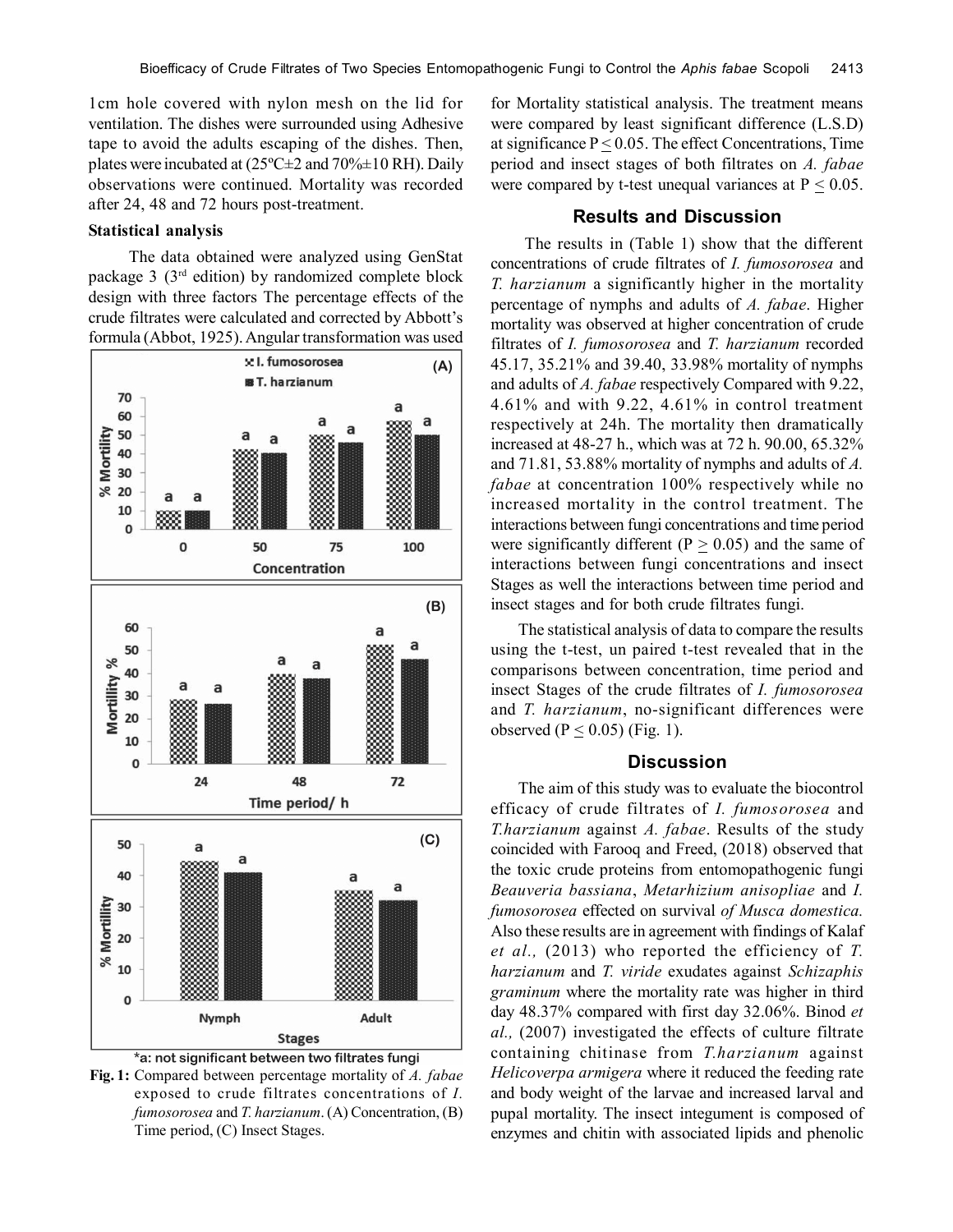1cm hole covered with nylon mesh on the lid for ventilation. The dishes were surrounded using Adhesive tape to avoid the adults escaping of the dishes. Then, plates were incubated at  $(25^{\circ}$ C $\pm$ 2 and  $70\% \pm 10$  RH). Daily observations were continued. Mortality was recorded after 24, 48 and 72 hours post-treatment.

#### **Statistical analysis**

 The data obtained were analyzed using GenStat package 3 (3rd edition) by randomized complete block design with three factors The percentage effects of the crude filtrates were calculated and corrected by Abbott's formula (Abbot, 1925).Angular transformation was used





**Fig. 1:** Compared between percentage mortality of *A. fabae* exposed to crude filtrates concentrations of *I. fumosorosea* and *T. harzianum*.(A) Concentration, (B) Time period, (C) Insect Stages.

for Mortality statistical analysis. The treatment means were compared by least significant difference (L.S.D) at significance  $P \le 0.05$ . The effect Concentrations, Time period and insect stages of both filtrates on *A. fabae* were compared by t-test unequal variances at  $P \leq 0.05$ .

## **Results and Discussion**

 The results in (Table 1) show that the different concentrations of crude filtrates of *I. fumosorosea* and *T. harzianum* a significantly higher in the mortality percentage of nymphs and adults of *A. fabae*. Higher mortality was observed at higher concentration of crude filtrates of *I. fumosorosea* and *T. harzianum* recorded 45.17, 35.21% and 39.40, 33.98% mortality of nymphs and adults of *A. fabae* respectively Compared with 9.22, 4.61% and with 9.22, 4.61% in control treatment respectively at 24h. The mortality then dramatically increased at 48-27 h., which was at 72 h. 90.00, 65.32% and 71.81, 53.88% mortality of nymphs and adults of *A. fabae* at concentration 100% respectively while no increased mortality in the control treatment. The interactions between fungi concentrations and time period were significantly different ( $P > 0.05$ ) and the same of interactions between fungi concentrations and insect Stages as well the interactions between time period and insect stages and for both crude filtrates fungi.

The statistical analysis of data to compare the results using the t-test, un paired t-test revealed that in the comparisons between concentration, time period and insect Stages of the crude filtrates of *I. fumosorosea* and *T. harzianum*, no-significant differences were observed ( $P \leq 0.05$ ) (Fig. 1).

## **Discussion**

The aim of this study was to evaluate the biocontrol efficacy of crude filtrates of *I. fumosorosea* and *T.harzianum* against *A. fabae*. Results of the study coincided with Farooq and Freed, (2018) observed that the toxic crude proteins from entomopathogenic fungi *Beauveria bassiana*, *Metarhizium anisopliae* and *I. fumosorosea* effected on survival *of Musca domestica.* Also these results are in agreement with findings of Kalaf *et al.,* (2013) who reported the efficiency of *T. harzianum* and *T. viride* exudates against *Schizaphis graminum* where the mortality rate was higher in third day 48.37% compared with first day 32.06%. Binod *et al.,* (2007) investigated the effects of culture filtrate containing chitinase from *T.harzianum* against *Helicoverpa armigera* where it reduced the feeding rate and body weight of the larvae and increased larval and pupal mortality. The insect integument is composed of enzymes and chitin with associated lipids and phenolic